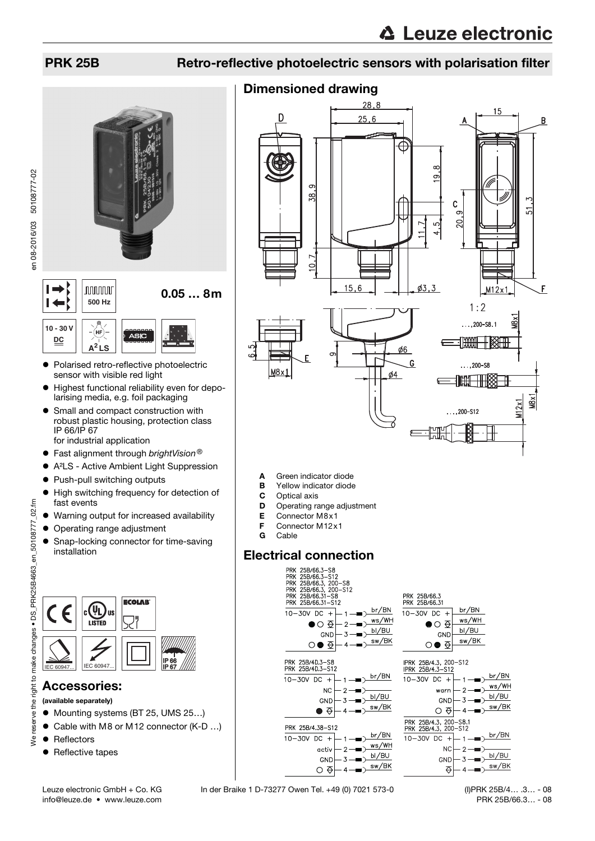#### PRK 25B Retro-reflective photoelectric sensors with polarisation filter

 $28,8$ 

Dimensioned drawing

# $\vdash$ **nnnnn** 0.05 … 8m  $\overline{1}$ **500 Hz**



- Polarised retro-reflective photoelectric sensor with visible red light
- Highest functional reliability even for depolarising media, e.g. foil packaging
- Small and compact construction with robust plastic housing, protection class IP 66/IP 67 for industrial application
	-
- **•** Fast alignment through *brightVision*<sup>®</sup><br>• A<sup>2</sup>l S Active Ambient Light Suppress A²LS - Active Ambient Light Suppression
- Push-pull switching outputs
- 
- $\bullet$  High switching frequency for detection of fast events
- Warning output for increased availability
- Operating range adjustment
- Snap-locking connector for time-saving installation



### Accessories:

- (available separately)
- Mounting systems (BT 25, UMS 25...)
- Cable with M8 or M12 connector (K-D ...)
- Reflectors
- Reflective tapes



- A Green indicator diode
- **B** Yellow indicator diode<br>**C** Optical axis
- Optical axis
- **D** Operating range adjustment
- E Connector M8x1
- **F** Connector M12x1<br>**G** Cable
- Cable



Leuze electronic GmbH + Co. KG In der Braike 1 D-73277 Owen Tel. +49 (0) 7021 573-0

info@leuze.de • www.leuze.com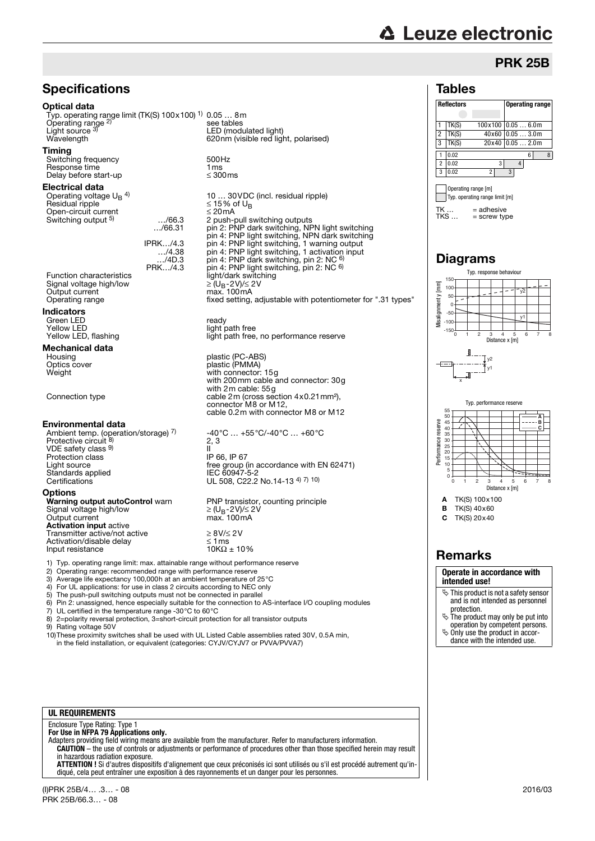## **△ Leuze electronic**

#### PRK 25B

#### Tables



 $=$  screw type

Typ. response behaviour

Diagrams

 $TK \dots = adhesive$ <br> $TKS \dots = screw tw$ 



A TK(S) 100x100 **B** TK(S)  $40 \times 60$ 

C TK(S) 20x40

### **Remarks**

#### **Operate in accordance with intended use!**

- $\%$  This product is not a safety sensor and is not intended as personnel protection.
- $\frac{1}{2}$  The product may only be put into operation by competent persons.  $\%$  Only use the product in accor-
- dance with the intended use.



#### Optical data

Typ. operating range limit (TK(S) 100x100) 1) 0.05 … 8m Operating range 2) see tables Light source 3)<br>Wavelength LED (modulated light)

#### Timing

Switching frequency 500Hz<br>Response time 1 ms<br>Delay before start-up ≤ 300ms Response time Delay before start-up

#### Electrical data

Operating voltage  $U_B$ <sup>4)</sup><br>Residual ripple Open-circuit current ≤ 20mA Switching output <sup>5)</sup>

…/66.31

Signal voltage high/low Output current<br>Operating range

#### Indicators

Green LED<br>
Yellow LED<br>
Yellow LED

## **Mechanical data**<br>Housing

#### Environmental data

Ambient temp. (operation/storage) <sup>7)</sup><br>Protective circuit <sup>8)</sup> VDE safety class 9) Protection class<br>Light source Standards applied<br>Certifications

#### **Options**

**Warning output autoControl** warn PNP transistor, counting principle<br>Signal voltage high/low <br>Output current max. 100mA Signal voltage high/low Output current max. 100mA<br>**Activation input** active Transmitter active/not active <br>
<br>  $\geq 8 \frac{V}{2} 2 V$ <br>
Activation/disable delay  $\leq 1 \text{ ms}$ Activation/disable delay  $\leq 1 \text{ ms}$ <br>
Input resistance  $10K\Omega \pm 10\%$ Input resistance

620nm (visible red light, polarised) 10 … 30VDC (incl. residual ripple)  $≤ 15%$  of U<sub>B</sub> 2 push-pull switching outputs pin 2: PNP dark switching, NPN light switching pin 4: PNP light switching, NPN dark switching<br>IPRK…/4.3 pin 4: PNP light switching, 1 warning output …/4.38 pin 4: PNP light switching, 1 activation input .../4D.3 pin 4: PNP dark switching, pin 2: NC 6)<br>PRK.../4.3 pin 4: PNP light switching, pin 2: NC 6) Function characteristics<br>
Signal voltage high/low<br>
Output current<br>  $\text{Output current}$ man rectime.

Yellow LED<br>
Yellow LED, flashing<br>
Yellow LED, flashing<br>
Ight path free light path free, no performance reserve

Housing plastic (PC-ABS)<br>
Optics cover the plastic (PMMA) Optics cover plastic (PMMA) Weight with connector: 15g with 200mm cable and connector: 30g with 2m cable: 55g Connection type cable 2m (cross section 4x0.21mm<sup>2</sup>), connector M8 or M12, cable 0.2m with connector M8 or M12

> -40°C … +55°C/-40°C … +60°C 2, 3 II<br>IP 66, IP 67 Free group (in accordance with EN 62471)<br>IEC 60947-5-2 UL 508, C22.2 No.14-13 4) 7) 10)

1) Typ. operating range limit: max. attainable range without performance reserve

- 2) Operating range: recommended range with performance reserve
- 3) Average life expectancy 100,000h at an ambient temperature of 25°C
- 4) For UL applications: for use in class 2 circuits according to NEC only 5) The push-pull switching outputs must not be connected in parallel
- 
- 6) Pin 2: unassigned, hence especially suitable for the connection to AS-interface I/O coupling modules <br>7) UL certified in the temperature range -30°C to 60°C
- 7) UL certified in the temperature range -30 $^{\circ}$ C to 60 $^{\circ}$ C 8) 2=polarity reversal protection, 3=short-circuit protection 8) 2=polarity reversal protection, 3=short-circuit protection for all transistor outputs<br>9) Rating voltage 50V
- Rating voltage 50V

10)These proximity switches shall be used with UL Listed Cable assemblies rated 30V, 0.5A min, in the field installation, or equivalent (categories: CYJV/CYJV7 or PVVA/PVVA7)

#### **UL REQUIREMENTS**

### Enclosure Type Rating: Type 1 **For Use in NFPA 79 Applications only.**

Adapters providing field wiring means are available from the manufacturer. Refer to manufacturers information. **CAUTION** – the use of controls or adjustments or performance of procedures other than those specified herein may result in hazardous radiation exposure.

**ATTENTION !** Si d'autres dispositifs d'alignement que ceux préconisés ici sont utilisés ou s'il est procédé autrement qu'indiqué, cela peut entraîner une exposition à des rayonnements et un danger pour les personnes.

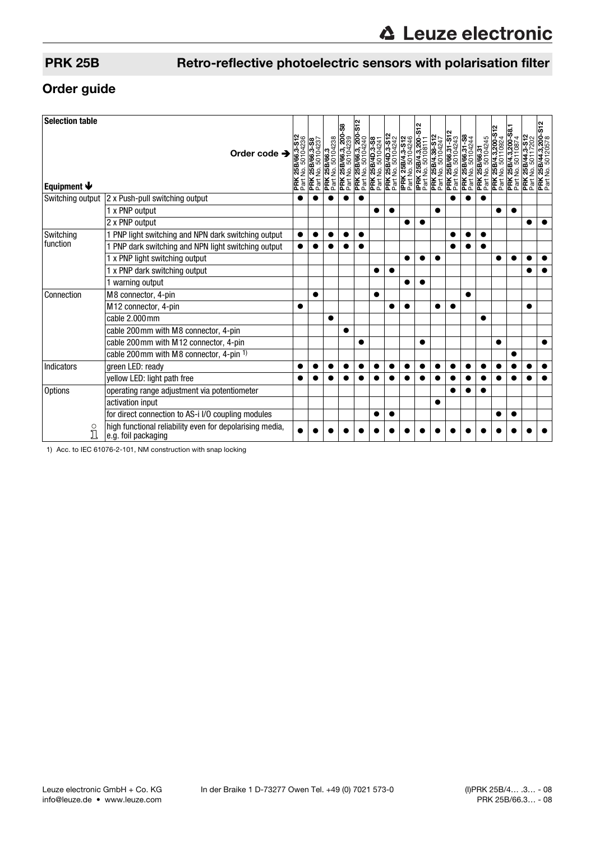### PRK 25B Retro-reflective photoelectric sensors with polarisation filter

### Order guide

| <b>Selection table</b>          |                                                                                 |                                       |                                      |           |                                                                                                   | S <sub>12</sub> |                                                                                                |                                              |                                       | ິ                                       |                                       |                                               |                                       |                                    |                                        |                                          |                                                      |                                                                |
|---------------------------------|---------------------------------------------------------------------------------|---------------------------------------|--------------------------------------|-----------|---------------------------------------------------------------------------------------------------|-----------------|------------------------------------------------------------------------------------------------|----------------------------------------------|---------------------------------------|-----------------------------------------|---------------------------------------|-----------------------------------------------|---------------------------------------|------------------------------------|----------------------------------------|------------------------------------------|------------------------------------------------------|----------------------------------------------------------------|
| Equipment $\blacktriangleright$ | Order code $\rightarrow$                                                        | PRK 25B/66.3-S12<br>Part No. 50104236 | PRK 25B/66.3-S8<br>Part No. 50104237 |           | 3<br><b>PRK 25B/66.3</b><br>Part No. 50104238<br><b>PRK 25B/66.3, 200-</b> 4<br>Part No. 50104239 |                 | <b>PRK 25B/66.3, 200-1</b><br>Part No. 50104240<br><b>PRK 25B/4D.3-S8</b><br>Part No. 50104241 | <b>PRK 25B/4D.3-S12</b><br>Part No. 50104242 | IPRK 25B/4.3-S12<br>Part No. 50104246 | IPRK 25B/4.3,200-S<br>Part No. 50108111 | PRK 25B/4.38-S12<br>Part No. 50104247 | <b>PRK 25B/66.31-S12</b><br>Part No. 50104243 | PRK 25B/66.31-S8<br>Part No. 50104244 | PRK 25B/66.31<br>Part No. 50104245 | PRK 25B/4.3,200-S<br>Part No. 50110924 | PRK 25B/4.3,200-S8.<br>Part No. 50110874 | 25B/44.3-S12<br>50117202<br>ġ<br>PRK <sub>Part</sub> | $\frac{2}{5}$<br><b>PRK 25B/44.3,200-</b><br>Part No. 50120578 |
| Switching output                | 2 x Push-pull switching output                                                  |                                       |                                      |           |                                                                                                   |                 |                                                                                                |                                              |                                       |                                         |                                       |                                               |                                       |                                    |                                        |                                          |                                                      |                                                                |
|                                 | 1 x PNP output                                                                  |                                       |                                      |           |                                                                                                   |                 |                                                                                                |                                              |                                       |                                         |                                       |                                               |                                       |                                    |                                        |                                          |                                                      |                                                                |
|                                 | 2 x PNP output                                                                  |                                       |                                      |           |                                                                                                   |                 |                                                                                                |                                              |                                       |                                         |                                       |                                               |                                       |                                    |                                        |                                          |                                                      |                                                                |
| Switching<br>function           | 1 PNP light switching and NPN dark switching output                             |                                       |                                      |           |                                                                                                   |                 |                                                                                                |                                              |                                       |                                         |                                       |                                               |                                       |                                    |                                        |                                          |                                                      |                                                                |
|                                 | 1 PNP dark switching and NPN light switching output                             |                                       |                                      |           |                                                                                                   |                 |                                                                                                |                                              |                                       |                                         |                                       |                                               |                                       |                                    |                                        |                                          |                                                      |                                                                |
|                                 | 1 x PNP light switching output                                                  |                                       |                                      |           |                                                                                                   |                 |                                                                                                |                                              |                                       |                                         | ●                                     |                                               |                                       |                                    |                                        |                                          |                                                      |                                                                |
|                                 | 1 x PNP dark switching output                                                   |                                       |                                      |           |                                                                                                   |                 |                                                                                                |                                              |                                       |                                         |                                       |                                               |                                       |                                    |                                        |                                          |                                                      |                                                                |
|                                 | 1 warning output                                                                |                                       |                                      |           |                                                                                                   |                 |                                                                                                |                                              |                                       |                                         |                                       |                                               |                                       |                                    |                                        |                                          |                                                      |                                                                |
| Connection                      | M8 connector, 4-pin                                                             |                                       |                                      |           |                                                                                                   |                 | ●                                                                                              |                                              |                                       |                                         |                                       |                                               |                                       |                                    |                                        |                                          |                                                      |                                                                |
|                                 | M12 connector, 4-pin                                                            |                                       |                                      |           |                                                                                                   |                 |                                                                                                |                                              |                                       |                                         |                                       |                                               |                                       |                                    |                                        |                                          |                                                      |                                                                |
|                                 | cable 2.000mm                                                                   |                                       |                                      | $\bullet$ |                                                                                                   |                 |                                                                                                |                                              |                                       |                                         |                                       |                                               |                                       | ●                                  |                                        |                                          |                                                      |                                                                |
|                                 | cable 200 mm with M8 connector, 4-pin                                           |                                       |                                      |           | $\bullet$                                                                                         |                 |                                                                                                |                                              |                                       |                                         |                                       |                                               |                                       |                                    |                                        |                                          |                                                      |                                                                |
|                                 | cable 200mm with M12 connector, 4-pin                                           |                                       |                                      |           |                                                                                                   |                 |                                                                                                |                                              |                                       |                                         |                                       |                                               |                                       |                                    | ●                                      |                                          |                                                      |                                                                |
|                                 | cable 200mm with M8 connector, 4-pin 1)                                         |                                       |                                      |           |                                                                                                   |                 |                                                                                                |                                              |                                       |                                         |                                       |                                               |                                       |                                    |                                        |                                          |                                                      |                                                                |
| Indicators                      | green LED: ready                                                                |                                       |                                      |           |                                                                                                   |                 |                                                                                                |                                              |                                       |                                         |                                       |                                               |                                       |                                    |                                        |                                          |                                                      |                                                                |
|                                 | yellow LED: light path free                                                     |                                       |                                      |           |                                                                                                   |                 |                                                                                                |                                              |                                       |                                         |                                       |                                               |                                       |                                    |                                        |                                          |                                                      |                                                                |
| <b>Options</b>                  | operating range adjustment via potentiometer                                    |                                       |                                      |           |                                                                                                   |                 |                                                                                                |                                              |                                       |                                         |                                       |                                               |                                       |                                    |                                        |                                          |                                                      |                                                                |
|                                 | activation input                                                                |                                       |                                      |           |                                                                                                   |                 |                                                                                                |                                              |                                       |                                         | $\bullet$                             |                                               |                                       |                                    |                                        |                                          |                                                      |                                                                |
|                                 | for direct connection to AS-i I/O coupling modules                              |                                       |                                      |           |                                                                                                   |                 |                                                                                                |                                              |                                       |                                         |                                       |                                               |                                       |                                    |                                        |                                          |                                                      |                                                                |
| $\overset{\circ}{\mathbb{1}}$   | high functional reliability even for depolarising media,<br>e.g. foil packaging |                                       |                                      |           |                                                                                                   |                 |                                                                                                |                                              |                                       |                                         |                                       |                                               |                                       |                                    |                                        |                                          |                                                      |                                                                |

1) Acc. to IEC 61076-2-101, NM construction with snap locking